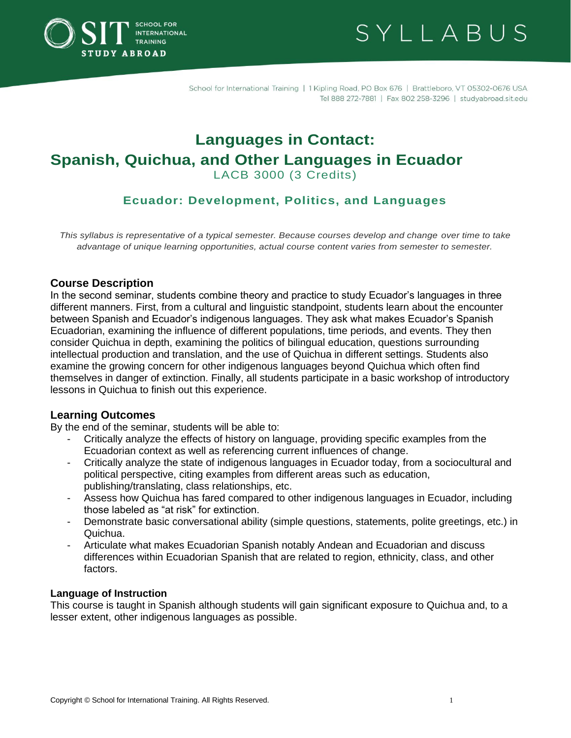

SYLLABUS

School for International Training | 1 Kipling Road, PO Box 676 | Brattleboro, VT 05302-0676 USA Tel 888 272-7881 | Fax 802 258-3296 | studyabroad.sit.edu

# **Languages in Contact: Spanish, Quichua, and Other Languages in Ecuador**  LACB 3000 (3 Credits)

# **Ecuador: Development, Politics, and Languages**

*This syllabus is representative of a typical semester. Because courses develop and change over time to take advantage of unique learning opportunities, actual course content varies from semester to semester.*

## **Course Description**

In the second seminar, students combine theory and practice to study Ecuador's languages in three different manners. First, from a cultural and linguistic standpoint, students learn about the encounter between Spanish and Ecuador's indigenous languages. They ask what makes Ecuador's Spanish Ecuadorian, examining the influence of different populations, time periods, and events. They then consider Quichua in depth, examining the politics of bilingual education, questions surrounding intellectual production and translation, and the use of Quichua in different settings. Students also examine the growing concern for other indigenous languages beyond Quichua which often find themselves in danger of extinction. Finally, all students participate in a basic workshop of introductory lessons in Quichua to finish out this experience.

## **Learning Outcomes**

By the end of the seminar, students will be able to:

- Critically analyze the effects of history on language, providing specific examples from the Ecuadorian context as well as referencing current influences of change.
- Critically analyze the state of indigenous languages in Ecuador today, from a sociocultural and political perspective, citing examples from different areas such as education, publishing/translating, class relationships, etc.
- Assess how Quichua has fared compared to other indigenous languages in Ecuador, including those labeled as "at risk" for extinction.
- Demonstrate basic conversational ability (simple questions, statements, polite greetings, etc.) in Quichua.
- Articulate what makes Ecuadorian Spanish notably Andean and Ecuadorian and discuss differences within Ecuadorian Spanish that are related to region, ethnicity, class, and other factors.

## **Language of Instruction**

This course is taught in Spanish although students will gain significant exposure to Quichua and, to a lesser extent, other indigenous languages as possible.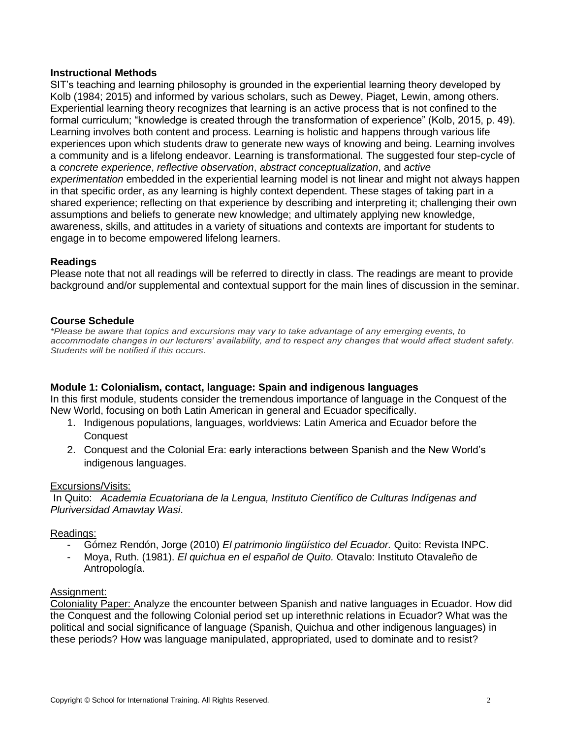#### **Instructional Methods**

SIT's teaching and learning philosophy is grounded in the experiential learning theory developed by Kolb (1984; 2015) and informed by various scholars, such as Dewey, Piaget, Lewin, among others. Experiential learning theory recognizes that learning is an active process that is not confined to the formal curriculum; "knowledge is created through the transformation of experience" (Kolb, 2015, p. 49). Learning involves both content and process. Learning is holistic and happens through various life experiences upon which students draw to generate new ways of knowing and being. Learning involves a community and is a lifelong endeavor. Learning is transformational. The suggested four step-cycle of a *concrete experience*, *reflective observation*, *abstract conceptualization*, and *active experimentation* embedded in the experiential learning model is not linear and might not always happen in that specific order, as any learning is highly context dependent. These stages of taking part in a shared experience; reflecting on that experience by describing and interpreting it; challenging their own assumptions and beliefs to generate new knowledge; and ultimately applying new knowledge, awareness, skills, and attitudes in a variety of situations and contexts are important for students to engage in to become empowered lifelong learners.

## **Readings**

Please note that not all readings will be referred to directly in class. The readings are meant to provide background and/or supplemental and contextual support for the main lines of discussion in the seminar.

#### **Course Schedule**

*\*Please be aware that topics and excursions may vary to take advantage of any emerging events, to accommodate changes in our lecturers' availability, and to respect any changes that would affect student safety. Students will be notified if this occurs.*

#### **Module 1: Colonialism, contact, language: Spain and indigenous languages**

In this first module, students consider the tremendous importance of language in the Conquest of the New World, focusing on both Latin American in general and Ecuador specifically.

- 1. Indigenous populations, languages, worldviews: Latin America and Ecuador before the **Conquest**
- 2. Conquest and the Colonial Era: early interactions between Spanish and the New World's indigenous languages.

#### Excursions/Visits:

In Quito: *Academia Ecuatoriana de la Lengua, Instituto Científico de Culturas Indígenas and Pluriversidad Amawtay Wasi*.

#### Readings:

- Gómez Rendón, Jorge (2010) *El patrimonio lingüístico del Ecuador.* Quito: Revista INPC.
- Moya, Ruth. (1981). *El quichua en el español de Quito.* Otavalo: Instituto Otavaleño de Antropología.

#### Assignment:

Coloniality Paper: Analyze the encounter between Spanish and native languages in Ecuador. How did the Conquest and the following Colonial period set up interethnic relations in Ecuador? What was the political and social significance of language (Spanish, Quichua and other indigenous languages) in these periods? How was language manipulated, appropriated, used to dominate and to resist?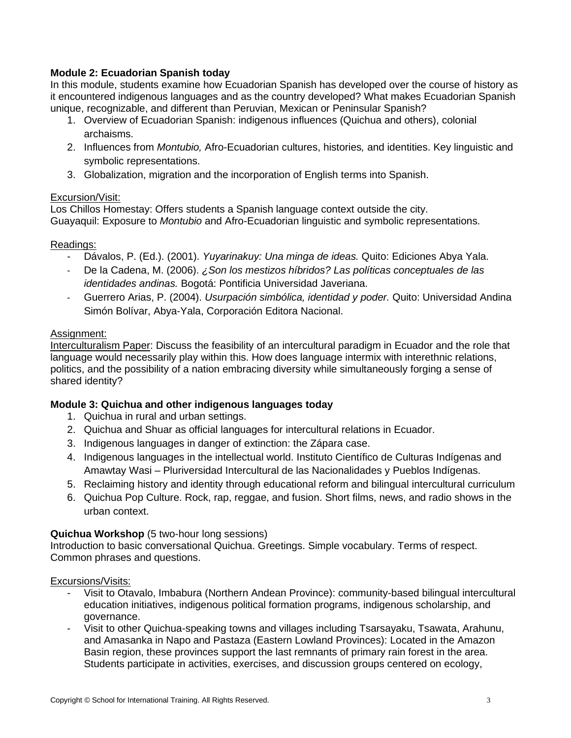## **Module 2: Ecuadorian Spanish today**

In this module, students examine how Ecuadorian Spanish has developed over the course of history as it encountered indigenous languages and as the country developed? What makes Ecuadorian Spanish unique, recognizable, and different than Peruvian, Mexican or Peninsular Spanish?

- 1. Overview of Ecuadorian Spanish: indigenous influences (Quichua and others), colonial archaisms.
- 2. Influences from *Montubio,* Afro-Ecuadorian cultures, histories*,* and identities. Key linguistic and symbolic representations.
- 3. Globalization, migration and the incorporation of English terms into Spanish.

#### Excursion/Visit:

Los Chillos Homestay: Offers students a Spanish language context outside the city. Guayaquil: Exposure to *Montubio* and Afro-Ecuadorian linguistic and symbolic representations.

## Readings:

- Dávalos, P. (Ed.). (2001). *Yuyarinakuy: Una minga de ideas.* Quito: Ediciones Abya Yala.
- De la Cadena, M. (2006). *¿Son los mestizos híbridos? Las políticas conceptuales de las identidades andinas.* Bogotá: Pontificia Universidad Javeriana.
- Guerrero Arias, P. (2004). *Usurpación simbólica, identidad y poder.* Quito: Universidad Andina Simón Bolívar, Abya-Yala, Corporación Editora Nacional.

#### Assignment:

Interculturalism Paper: Discuss the feasibility of an intercultural paradigm in Ecuador and the role that language would necessarily play within this. How does language intermix with interethnic relations, politics, and the possibility of a nation embracing diversity while simultaneously forging a sense of shared identity?

## **Module 3: Quichua and other indigenous languages today**

- 1. Quichua in rural and urban settings.
- 2. Quichua and Shuar as official languages for intercultural relations in Ecuador.
- 3. Indigenous languages in danger of extinction: the Zápara case.
- 4. Indigenous languages in the intellectual world. Instituto Científico de Culturas Indígenas and Amawtay Wasi – Pluriversidad Intercultural de las Nacionalidades y Pueblos Indígenas.
- 5. Reclaiming history and identity through educational reform and bilingual intercultural curriculum
- 6. Quichua Pop Culture. Rock, rap, reggae, and fusion. Short films, news, and radio shows in the urban context.

## **Quichua Workshop** (5 two-hour long sessions)

Introduction to basic conversational Quichua. Greetings. Simple vocabulary. Terms of respect. Common phrases and questions.

#### Excursions/Visits:

- Visit to Otavalo, Imbabura (Northern Andean Province): community-based bilingual intercultural education initiatives, indigenous political formation programs, indigenous scholarship, and governance.
- Visit to other Quichua-speaking towns and villages including Tsarsayaku, Tsawata, Arahunu, and Amasanka in Napo and Pastaza (Eastern Lowland Provinces): Located in the Amazon Basin region, these provinces support the last remnants of primary rain forest in the area. Students participate in activities, exercises, and discussion groups centered on ecology,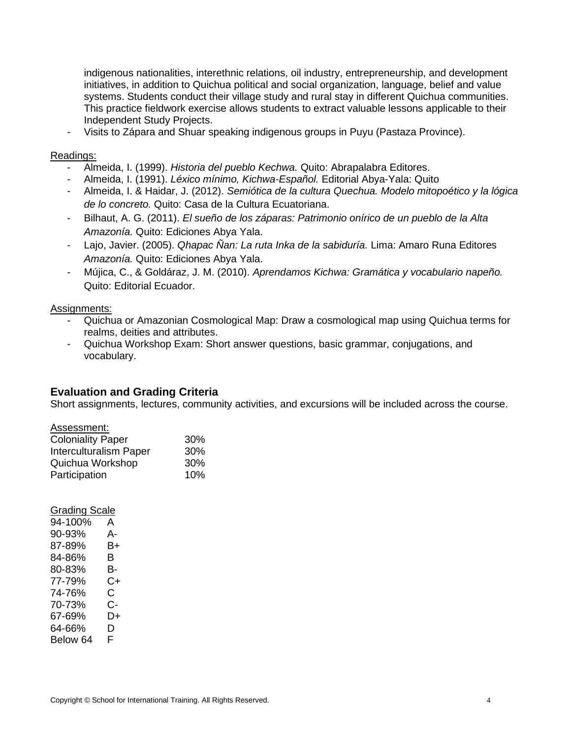indigenous nationalities, interethnic relations, oil industry, entrepreneurship, and development initiatives, in addition to Quichua political and social organization, language, belief and value systems. Students conduct their village study and rural stay in different Quichua communities. This practice fieldwork exercise allows students to extract valuable lessons applicable to their Independent Study Projects.

- Visits to Zápara and Shuar speaking indigenous groups in Puyu (Pastaza Province).

#### Readings:

- Almeida, I. (1999). *Historia del pueblo Kechwa.* Quito: Abrapalabra Editores.
- Almeida, I. (1991). *Léxico mínimo, Kichwa-Español.* Editorial Abya-Yala: Quito
- Almeida, I. & Haidar, J. (2012). *Semiótica de la cultura Quechua. Modelo mitopoético y la lógica de lo concreto.* Quito: Casa de la Cultura Ecuatoriana.
- Bilhaut, A. G. (2011). *El sueño de los záparas: Patrimonio onírico de un pueblo de la Alta Amazonía.* Quito: Ediciones Abya Yala.
- Lajo, Javier. (2005). *Qhapac Ñan: La ruta Inka de la sabiduría.* Lima: Amaro Runa Editores *Amazonía.* Quito: Ediciones Abya Yala.
- Mújica, C., & Goldáraz, J. M. (2010). *Aprendamos Kichwa: Gramática y vocabulario napeño.*  Quito: Editorial Ecuador.

#### Assignments:

- Quichua or Amazonian Cosmological Map: Draw a cosmological map using Quichua terms for realms, deities and attributes.
- Quichua Workshop Exam: Short answer questions, basic grammar, conjugations, and vocabulary.

#### **Evaluation and Grading Criteria**

Short assignments, lectures, community activities, and excursions will be included across the course.

| Assessment:                   |     |
|-------------------------------|-----|
| <b>Coloniality Paper</b>      | 30% |
| <b>Interculturalism Paper</b> | 30% |
| Quichua Workshop              | 30% |
| Participation                 | 10% |

#### Grading Scale

| 94-100%  | А  |
|----------|----|
| 90-93%   | А- |
| 87-89%   | B+ |
| 84-86%   | В  |
| 80-83%   | в- |
| 77-79%   | C+ |
| 74-76%   | C. |
| 70-73%   | C- |
| 67-69%   | D+ |
| 64-66%   | D  |
| Below 64 | F  |